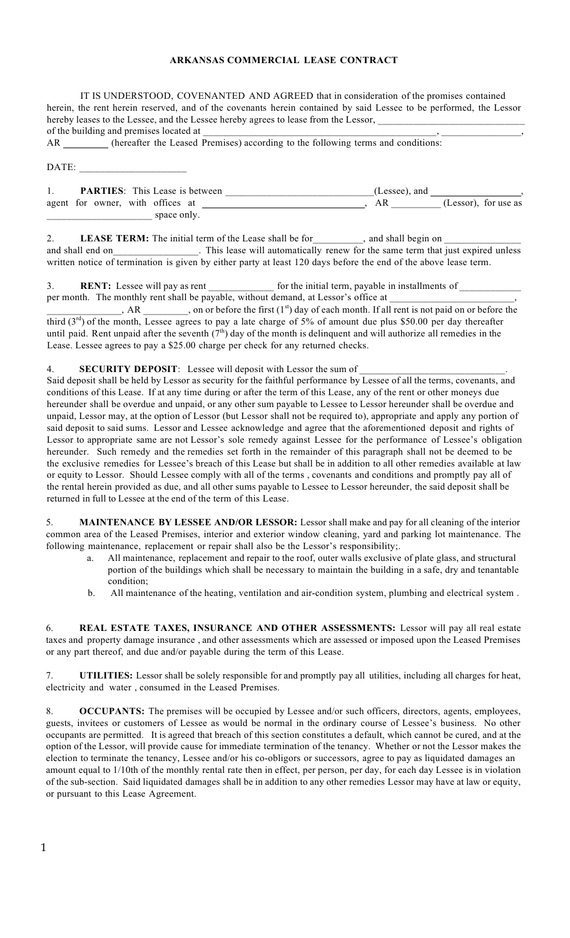## **ARKANSAS COMMERCIAL LEASE CONTRACT**

IT IS UNDERSTOOD, COVENANTED AND AGREED that in consideration of the promises contained herein, the rent herein reserved, and of the covenants herein contained by said Lessee to be performed, the Lessor hereby leases to the Lessee, and the Lessee hereby agrees to lease from the Lessor, of the building and premises located at

AR (hereafter the Leased Premises) according to the following terms and conditions:

DATE:

|                                  |  |             | <b>PARTIES:</b> This Lease is between | (Lessee), and |                      |
|----------------------------------|--|-------------|---------------------------------------|---------------|----------------------|
| agent for owner, with offices at |  |             |                                       |               | (Lessor), for use as |
|                                  |  | space only. |                                       |               |                      |

2. **LEASE TERM:** The initial term of the Lease shall be for \_\_\_\_\_\_\_\_, and shall begin on \_ and shall end on\_\_\_\_\_\_\_\_\_\_\_\_\_\_. This lease will automatically renew for the same term that just expired unless written notice of termination is given by either party at least 120 days before the end of the above lease term.

3. **RENT:** Lessee will pay as rent for the initial term, payable in installments of per month. The monthly rent shall be payable, without demand, at Lessor's office at

 $\Box$ , AR  $\Box$ , on or before the first (1<sup>st</sup>) day of each month. If all rent is not paid on or before the third  $(3<sup>rd</sup>)$  of the month, Lessee agrees to pay a late charge of 5% of amount due plus \$50.00 per day thereafter until paid. Rent unpaid after the seventh  $(7<sup>th</sup>)$  day of the month is delinquent and will authorize all remedies in the Lease. Lessee agrees to pay a \$25.00 charge per check for any returned checks.

4. **SECURITY DEPOSIT:** Lessee will deposit with Lessor the sum of

Said deposit shall be held by Lessor as security for the faithful performance by Lessee of all the terms, covenants, and conditions of this Lease. If at any time during or after the term of this Lease, any of the rent or other moneys due hereunder shall be overdue and unpaid, or any other sum payable to Lessee to Lessor hereunder shall be overdue and unpaid, Lessor may, at the option of Lessor (but Lessor shall not be required to), appropriate and apply any portion of said deposit to said sums. Lessor and Lessee acknowledge and agree that the aforementioned deposit and rights of Lessor to appropriate same are not Lessor's sole remedy against Lessee for the performance of Lessee's obligation hereunder. Such remedy and the remedies set forth in the remainder of this paragraph shall not be deemed to be the exclusive remedies for Lessee's breach of this Lease but shall be in addition to all other remedies available at law or equity to Lessor. Should Lessee comply with all of the terms , covenants and conditions and promptly pay all of the rental herein provided as due, and all other sums payable to Lessee to Lessor hereunder, the said deposit shall be returned in full to Lessee at the end of the term of this Lease.

5. **MAINTENANCE BY LESSEE AND/OR LESSOR:** Lessor shall make and pay for all cleaning of the interior common area of the Leased Premises, interior and exterior window cleaning, yard and parking lot maintenance. The following maintenance, replacement or repair shall also be the Lessor's responsibility;.

- a. All maintenance, replacement and repair to the roof, outer walls exclusive of plate glass, and structural portion of the buildings which shall be necessary to maintain the building in a safe, dry and tenantable condition;
- b. All maintenance of the heating, ventilation and air-condition system, plumbing and electrical system .

6. **REAL ESTATE TAXES, INSURANCE AND OTHER ASSESSMENTS:** Lessor will pay all real estate taxes and property damage insurance , and other assessments which are assessed or imposed upon the Leased Premises or any part thereof, and due and/or payable during the term of this Lease.

7. **UTILITIES:** Lessor shall be solely responsible for and promptly pay all utilities, including all charges for heat, electricity and water , consumed in the Leased Premises.

8. **OCCUPANTS:** The premises will be occupied by Lessee and/or such officers, directors, agents, employees, guests, invitees or customers of Lessee as would be normal in the ordinary course of Lessee's business. No other occupants are permitted. It is agreed that breach of this section constitutes a default, which cannot be cured, and at the option of the Lessor, will provide cause for immediate termination of the tenancy. Whether or not the Lessor makes the election to terminate the tenancy, Lessee and/or his co-obligors or successors, agree to pay as liquidated damages an amount equal to 1/10th of the monthly rental rate then in effect, per person, per day, for each day Lessee is in violation of the sub-section. Said liquidated damages shall be in addition to any other remedies Lessor may have at law or equity, or pursuant to this Lease Agreement.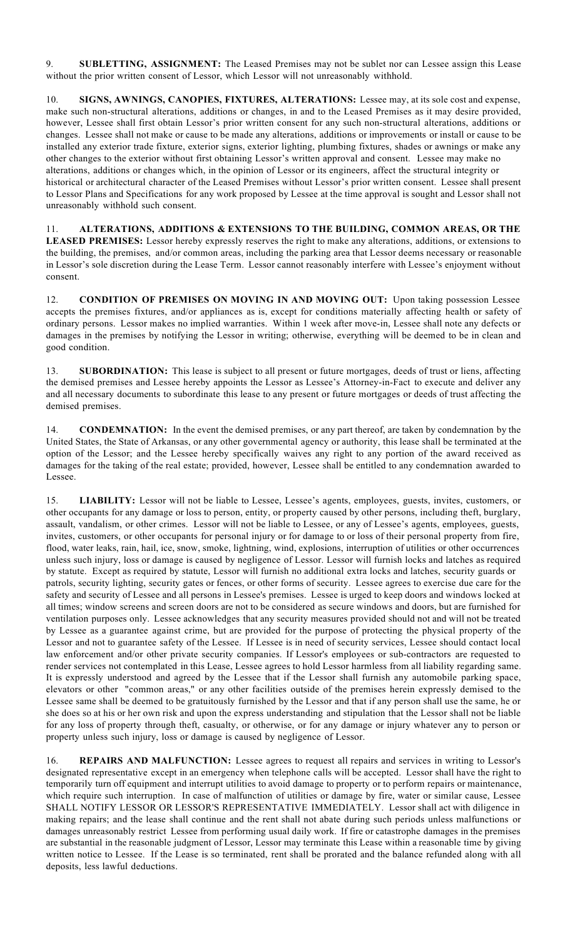9. **SUBLETTING, ASSIGNMENT:** The Leased Premises may not be sublet nor can Lessee assign this Lease without the prior written consent of Lessor, which Lessor will not unreasonably withhold.

10. **SIGNS, AWNINGS, CANOPIES, FIXTURES, ALTERATIONS:** Lessee may, at its sole cost and expense, make such non-structural alterations, additions or changes, in and to the Leased Premises as it may desire provided, however, Lessee shall first obtain Lessor's prior written consent for any such non-structural alterations, additions or changes. Lessee shall not make or cause to be made any alterations, additions or improvements or install or cause to be installed any exterior trade fixture, exterior signs, exterior lighting, plumbing fixtures, shades or awnings or make any other changes to the exterior without first obtaining Lessor's written approval and consent. Lessee may make no alterations, additions or changes which, in the opinion of Lessor or its engineers, affect the structural integrity or historical or architectural character of the Leased Premises without Lessor's prior written consent. Lessee shall present to Lessor Plans and Specifications for any work proposed by Lessee at the time approval is sought and Lessor shall not unreasonably withhold such consent.

11. **ALTERATIONS, ADDITIONS & EXTENSIONS TO THE BUILDING, COMMON AREAS, OR THE LEASED PREMISES:** Lessor hereby expressly reserves the right to make any alterations, additions, or extensions to the building, the premises, and/or common areas, including the parking area that Lessor deems necessary or reasonable in Lessor's sole discretion during the Lease Term. Lessor cannot reasonably interfere with Lessee's enjoyment without consent.

12. **CONDITION OF PREMISES ON MOVING IN AND MOVING OUT:** Upon taking possession Lessee accepts the premises fixtures, and/or appliances as is, except for conditions materially affecting health or safety of ordinary persons. Lessor makes no implied warranties. Within 1 week after move-in, Lessee shall note any defects or damages in the premises by notifying the Lessor in writing; otherwise, everything will be deemed to be in clean and good condition.

13. **SUBORDINATION:** This lease is subject to all present or future mortgages, deeds of trust or liens, affecting the demised premises and Lessee hereby appoints the Lessor as Lessee's Attorney-in-Fact to execute and deliver any and all necessary documents to subordinate this lease to any present or future mortgages or deeds of trust affecting the demised premises.

14. **CONDEMNATION:** In the event the demised premises, or any part thereof, are taken by condemnation by the United States, the State of Arkansas, or any other governmental agency or authority, this lease shall be terminated at the option of the Lessor; and the Lessee hereby specifically waives any right to any portion of the award received as damages for the taking of the real estate; provided, however, Lessee shall be entitled to any condemnation awarded to Lessee.

15. **LIABILITY:** Lessor will not be liable to Lessee, Lessee's agents, employees, guests, invites, customers, or other occupants for any damage or loss to person, entity, or property caused by other persons, including theft, burglary, assault, vandalism, or other crimes. Lessor will not be liable to Lessee, or any of Lessee's agents, employees, guests, invites, customers, or other occupants for personal injury or for damage to or loss of their personal property from fire, flood, water leaks, rain, hail, ice, snow, smoke, lightning, wind, explosions, interruption of utilities or other occurrences unless such injury, loss or damage is caused by negligence of Lessor. Lessor will furnish locks and latches as required by statute. Except as required by statute, Lessor will furnish no additional extra locks and latches, security guards or patrols, security lighting, security gates or fences, or other forms of security. Lessee agrees to exercise due care for the safety and security of Lessee and all persons in Lessee's premises. Lessee is urged to keep doors and windows locked at all times; window screens and screen doors are not to be considered as secure windows and doors, but are furnished for ventilation purposes only. Lessee acknowledges that any security measures provided should not and will not be treated by Lessee as a guarantee against crime, but are provided for the purpose of protecting the physical property of the Lessor and not to guarantee safety of the Lessee. If Lessee is in need of security services, Lessee should contact local law enforcement and/or other private security companies. If Lessor's employees or sub-contractors are requested to render services not contemplated in this Lease, Lessee agrees to hold Lessor harmless from all liability regarding same. It is expressly understood and agreed by the Lessee that if the Lessor shall furnish any automobile parking space, elevators or other "common areas," or any other facilities outside of the premises herein expressly demised to the Lessee same shall be deemed to be gratuitously furnished by the Lessor and that if any person shall use the same, he or she does so at his or her own risk and upon the express understanding and stipulation that the Lessor shall not be liable for any loss of property through theft, casualty, or otherwise, or for any damage or injury whatever any to person or property unless such injury, loss or damage is caused by negligence of Lessor.

16. **REPAIRS AND MALFUNCTION:** Lessee agrees to request all repairs and services in writing to Lessor's designated representative except in an emergency when telephone calls will be accepted. Lessor shall have the right to temporarily turn off equipment and interrupt utilities to avoid damage to property or to perform repairs or maintenance, which require such interruption. In case of malfunction of utilities or damage by fire, water or similar cause, Lessee SHALL NOTIFY LESSOR OR LESSOR'S REPRESENTATIVE IMMEDIATELY. Lessor shall act with diligence in making repairs; and the lease shall continue and the rent shall not abate during such periods unless malfunctions or damages unreasonably restrict Lessee from performing usual daily work. If fire or catastrophe damages in the premises are substantial in the reasonable judgment of Lessor, Lessor may terminate this Lease within a reasonable time by giving written notice to Lessee. If the Lease is so terminated, rent shall be prorated and the balance refunded along with all deposits, less lawful deductions.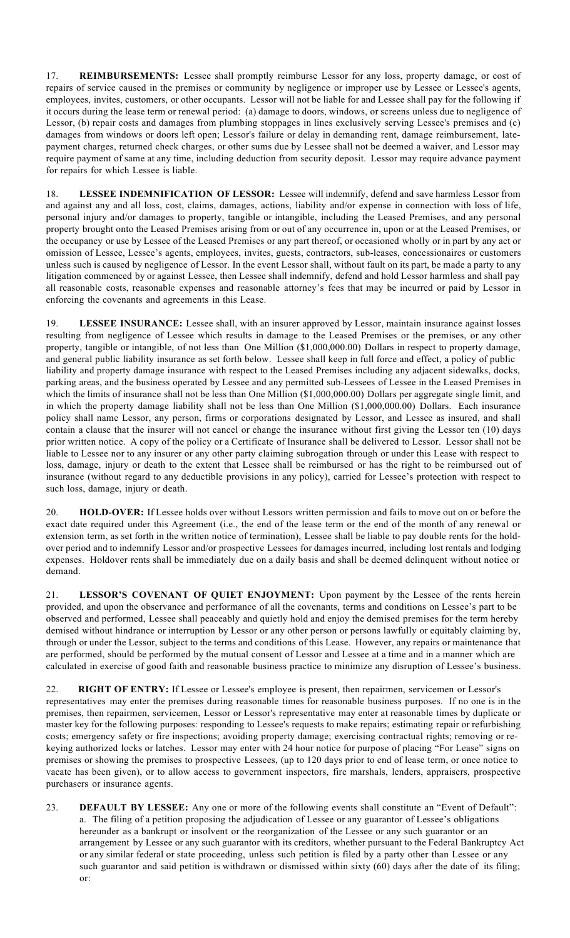17. **REIMBURSEMENTS:** Lessee shall promptly reimburse Lessor for any loss, property damage, or cost of repairs of service caused in the premises or community by negligence or improper use by Lessee or Lessee's agents, employees, invites, customers, or other occupants. Lessor will not be liable for and Lessee shall pay for the following if it occurs during the lease term or renewal period: (a) damage to doors, windows, or screens unless due to negligence of Lessor, (b) repair costs and damages from plumbing stoppages in lines exclusively serving Lessee's premises and (c) damages from windows or doors left open; Lessor's failure or delay in demanding rent, damage reimbursement, latepayment charges, returned check charges, or other sums due by Lessee shall not be deemed a waiver, and Lessor may require payment of same at any time, including deduction from security deposit. Lessor may require advance payment for repairs for which Lessee is liable.

18. **LESSEE INDEMNIFICATION OF LESSOR:** Lessee will indemnify, defend and save harmless Lessor from and against any and all loss, cost, claims, damages, actions, liability and/or expense in connection with loss of life, personal injury and/or damages to property, tangible or intangible, including the Leased Premises, and any personal property brought onto the Leased Premises arising from or out of any occurrence in, upon or at the Leased Premises, or the occupancy or use by Lessee of the Leased Premises or any part thereof, or occasioned wholly or in part by any act or omission of Lessee, Lessee's agents, employees, invites, guests, contractors, sub-leases, concessionaires or customers unless such is caused by negligence of Lessor. In the event Lessor shall, without fault on its part, be made a party to any litigation commenced by or against Lessee, then Lessee shall indemnify, defend and hold Lessor harmless and shall pay all reasonable costs, reasonable expenses and reasonable attorney's fees that may be incurred or paid by Lessor in enforcing the covenants and agreements in this Lease.

19. **LESSEE INSURANCE:** Lessee shall, with an insurer approved by Lessor, maintain insurance against losses resulting from negligence of Lessee which results in damage to the Leased Premises or the premises, or any other property, tangible or intangible, of not less than One Million (\$1,000,000.00) Dollars in respect to property damage, and general public liability insurance as set forth below. Lessee shall keep in full force and effect, a policy of public liability and property damage insurance with respect to the Leased Premises including any adjacent sidewalks, docks, parking areas, and the business operated by Lessee and any permitted sub-Lessees of Lessee in the Leased Premises in which the limits of insurance shall not be less than One Million (\$1,000,000.00) Dollars per aggregate single limit, and in which the property damage liability shall not be less than One Million (\$1,000,000.00) Dollars. Each insurance policy shall name Lessor, any person, firms or corporations designated by Lessor, and Lessee as insured, and shall contain a clause that the insurer will not cancel or change the insurance without first giving the Lessor ten (10) days prior written notice. A copy of the policy or a Certificate of Insurance shall be delivered to Lessor. Lessor shall not be liable to Lessee nor to any insurer or any other party claiming subrogation through or under this Lease with respect to loss, damage, injury or death to the extent that Lessee shall be reimbursed or has the right to be reimbursed out of insurance (without regard to any deductible provisions in any policy), carried for Lessee's protection with respect to such loss, damage, injury or death.

20. **HOLD-OVER:** If Lessee holds over without Lessors written permission and fails to move out on or before the exact date required under this Agreement (i.e., the end of the lease term or the end of the month of any renewal or extension term, as set forth in the written notice of termination), Lessee shall be liable to pay double rents for the holdover period and to indemnify Lessor and/or prospective Lessees for damages incurred, including lost rentals and lodging expenses. Holdover rents shall be immediately due on a daily basis and shall be deemed delinquent without notice or demand.

21. **LESSOR'S COVENANT OF QUIET ENJOYMENT:** Upon payment by the Lessee of the rents herein provided, and upon the observance and performance of all the covenants, terms and conditions on Lessee's part to be observed and performed, Lessee shall peaceably and quietly hold and enjoy the demised premises for the term hereby demised without hindrance or interruption by Lessor or any other person or persons lawfully or equitably claiming by, through or under the Lessor, subject to the terms and conditions of this Lease. However, any repairs or maintenance that are performed, should be performed by the mutual consent of Lessor and Lessee at a time and in a manner which are calculated in exercise of good faith and reasonable business practice to minimize any disruption of Lessee's business.

22. **RIGHT OF ENTRY:** If Lessee or Lessee's employee is present, then repairmen, servicemen or Lessor's representatives may enter the premises during reasonable times for reasonable business purposes. If no one is in the premises, then repairmen, servicemen, Lessor or Lessor's representative may enter at reasonable times by duplicate or master key for the following purposes: responding to Lessee's requests to make repairs; estimating repair or refurbishing costs; emergency safety or fire inspections; avoiding property damage; exercising contractual rights; removing or rekeying authorized locks or latches. Lessor may enter with 24 hour notice for purpose of placing "For Lease" signs on premises or showing the premises to prospective Lessees, (up to 120 days prior to end of lease term, or once notice to vacate has been given), or to allow access to government inspectors, fire marshals, lenders, appraisers, prospective purchasers or insurance agents.

23. **DEFAULT BY LESSEE:** Any one or more of the following events shall constitute an "Event of Default": a. The filing of a petition proposing the adjudication of Lessee or any guarantor of Lessee's obligations hereunder as a bankrupt or insolvent or the reorganization of the Lessee or any such guarantor or an arrangement by Lessee or any such guarantor with its creditors, whether pursuant to the Federal Bankruptcy Act or any similar federal or state proceeding, unless such petition is filed by a party other than Lessee or any such guarantor and said petition is withdrawn or dismissed within sixty (60) days after the date of its filing; or: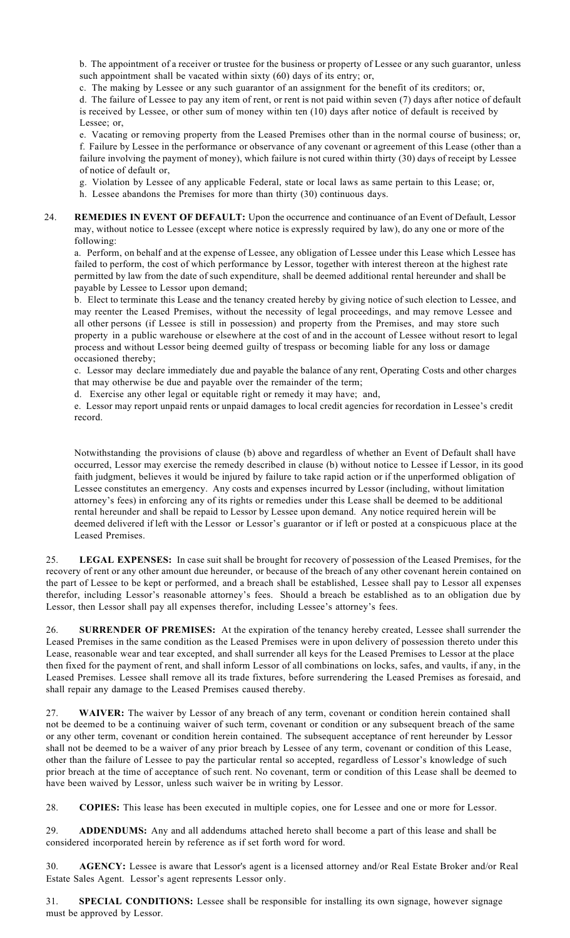b. The appointment of a receiver or trustee for the business or property of Lessee or any such guarantor, unless such appointment shall be vacated within sixty (60) days of its entry; or,

c. The making by Lessee or any such guarantor of an assignment for the benefit of its creditors; or,

d. The failure of Lessee to pay any item of rent, or rent is not paid within seven (7) days after notice of default is received by Lessee, or other sum of money within ten (10) days after notice of default is received by Lessee; or,

e. Vacating or removing property from the Leased Premises other than in the normal course of business; or, f. Failure by Lessee in the performance or observance of any covenant or agreement of this Lease (other than a failure involving the payment of money), which failure is not cured within thirty (30) days of receipt by Lessee of notice of default or,

g. Violation by Lessee of any applicable Federal, state or local laws as same pertain to this Lease; or,

- h. Lessee abandons the Premises for more than thirty (30) continuous days.
- 24. **REMEDIES IN EVENT OF DEFAULT:** Upon the occurrence and continuance of an Event of Default, Lessor may, without notice to Lessee (except where notice is expressly required by law), do any one or more of the following:

a. Perform, on behalf and at the expense of Lessee, any obligation of Lessee under this Lease which Lessee has failed to perform, the cost of which performance by Lessor, together with interest thereon at the highest rate permitted by law from the date of such expenditure, shall be deemed additional rental hereunder and shall be payable by Lessee to Lessor upon demand;

b. Elect to terminate this Lease and the tenancy created hereby by giving notice of such election to Lessee, and may reenter the Leased Premises, without the necessity of legal proceedings, and may remove Lessee and all other persons (if Lessee is still in possession) and property from the Premises, and may store such property in a public warehouse or elsewhere at the cost of and in the account of Lessee without resort to legal process and without Lessor being deemed guilty of trespass or becoming liable for any loss or damage occasioned thereby;

c. Lessor may declare immediately due and payable the balance of any rent, Operating Costs and other charges that may otherwise be due and payable over the remainder of the term;

d. Exercise any other legal or equitable right or remedy it may have; and,

e. Lessor may report unpaid rents or unpaid damages to local credit agencies for recordation in Lessee's credit record.

Notwithstanding the provisions of clause (b) above and regardless of whether an Event of Default shall have occurred, Lessor may exercise the remedy described in clause (b) without notice to Lessee if Lessor, in its good faith judgment, believes it would be injured by failure to take rapid action or if the unperformed obligation of Lessee constitutes an emergency. Any costs and expenses incurred by Lessor (including, without limitation attorney's fees) in enforcing any of its rights or remedies under this Lease shall be deemed to be additional rental hereunder and shall be repaid to Lessor by Lessee upon demand. Any notice required herein will be deemed delivered if left with the Lessor or Lessor's guarantor or if left or posted at a conspicuous place at the Leased Premises.

25. **LEGAL EXPENSES:** In case suit shall be brought for recovery of possession of the Leased Premises, for the recovery of rent or any other amount due hereunder, or because of the breach of any other covenant herein contained on the part of Lessee to be kept or performed, and a breach shall be established, Lessee shall pay to Lessor all expenses therefor, including Lessor's reasonable attorney's fees. Should a breach be established as to an obligation due by Lessor, then Lessor shall pay all expenses therefor, including Lessee's attorney's fees.

26. **SURRENDER OF PREMISES:** At the expiration of the tenancy hereby created, Lessee shall surrender the Leased Premises in the same condition as the Leased Premises were in upon delivery of possession thereto under this Lease, reasonable wear and tear excepted, and shall surrender all keys for the Leased Premises to Lessor at the place then fixed for the payment of rent, and shall inform Lessor of all combinations on locks, safes, and vaults, if any, in the Leased Premises. Lessee shall remove all its trade fixtures, before surrendering the Leased Premises as foresaid, and shall repair any damage to the Leased Premises caused thereby.

27. **WAIVER:** The waiver by Lessor of any breach of any term, covenant or condition herein contained shall not be deemed to be a continuing waiver of such term, covenant or condition or any subsequent breach of the same or any other term, covenant or condition herein contained. The subsequent acceptance of rent hereunder by Lessor shall not be deemed to be a waiver of any prior breach by Lessee of any term, covenant or condition of this Lease, other than the failure of Lessee to pay the particular rental so accepted, regardless of Lessor's knowledge of such prior breach at the time of acceptance of such rent. No covenant, term or condition of this Lease shall be deemed to have been waived by Lessor, unless such waiver be in writing by Lessor.

28. **COPIES:** This lease has been executed in multiple copies, one for Lessee and one or more for Lessor.

29. **ADDENDUMS:** Any and all addendums attached hereto shall become a part of this lease and shall be considered incorporated herein by reference as if set forth word for word.

30. **AGENCY:** Lessee is aware that Lessor's agent is a licensed attorney and/or Real Estate Broker and/or Real Estate Sales Agent. Lessor's agent represents Lessor only.

31. **SPECIAL CONDITIONS:** Lessee shall be responsible for installing its own signage, however signage must be approved by Lessor.